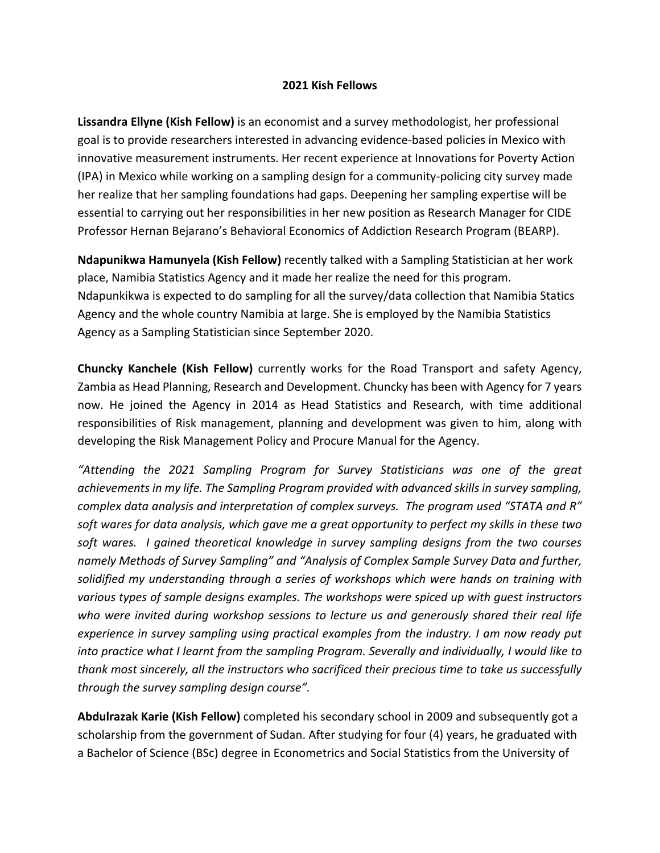## **2021 Kish Fellows**

**Lissandra Ellyne (Kish Fellow)** is an economist and a survey methodologist, her professional goal is to provide researchers interested in advancing evidence-based policies in Mexico with innovative measurement instruments. Her recent experience at Innovations for Poverty Action (IPA) in Mexico while working on a sampling design for a community-policing city survey made her realize that her sampling foundations had gaps. Deepening her sampling expertise will be essential to carrying out her responsibilities in her new position as Research Manager for CIDE Professor Hernan Bejarano's Behavioral Economics of Addiction Research Program (BEARP).

**Ndapunikwa Hamunyela (Kish Fellow)** recently talked with a Sampling Statistician at her work place, Namibia Statistics Agency and it made her realize the need for this program. Ndapunkikwa is expected to do sampling for all the survey/data collection that Namibia Statics Agency and the whole country Namibia at large. She is employed by the Namibia Statistics Agency as a Sampling Statistician since September 2020.

**Chuncky Kanchele (Kish Fellow)** currently works for the Road Transport and safety Agency, Zambia as Head Planning, Research and Development. Chuncky has been with Agency for 7 years now. He joined the Agency in 2014 as Head Statistics and Research, with time additional responsibilities of Risk management, planning and development was given to him, along with developing the Risk Management Policy and Procure Manual for the Agency.

*"Attending the 2021 Sampling Program for Survey Statisticians was one of the great achievements in my life. The Sampling Program provided with advanced skills in survey sampling, complex data analysis and interpretation of complex surveys. The program used "STATA and R" soft wares for data analysis, which gave me a great opportunity to perfect my skills in these two soft wares. I gained theoretical knowledge in survey sampling designs from the two courses namely Methods of Survey Sampling" and "Analysis of Complex Sample Survey Data and further, solidified my understanding through a series of workshops which were hands on training with various types of sample designs examples. The workshops were spiced up with guest instructors who were invited during workshop sessions to lecture us and generously shared their real life experience in survey sampling using practical examples from the industry. I am now ready put into practice what I learnt from the sampling Program. Severally and individually, I would like to thank most sincerely, all the instructors who sacrificed their precious time to take us successfully through the survey sampling design course".* 

**Abdulrazak Karie (Kish Fellow)** completed his secondary school in 2009 and subsequently got a scholarship from the government of Sudan. After studying for four (4) years, he graduated with a Bachelor of Science (BSc) degree in Econometrics and Social Statistics from the University of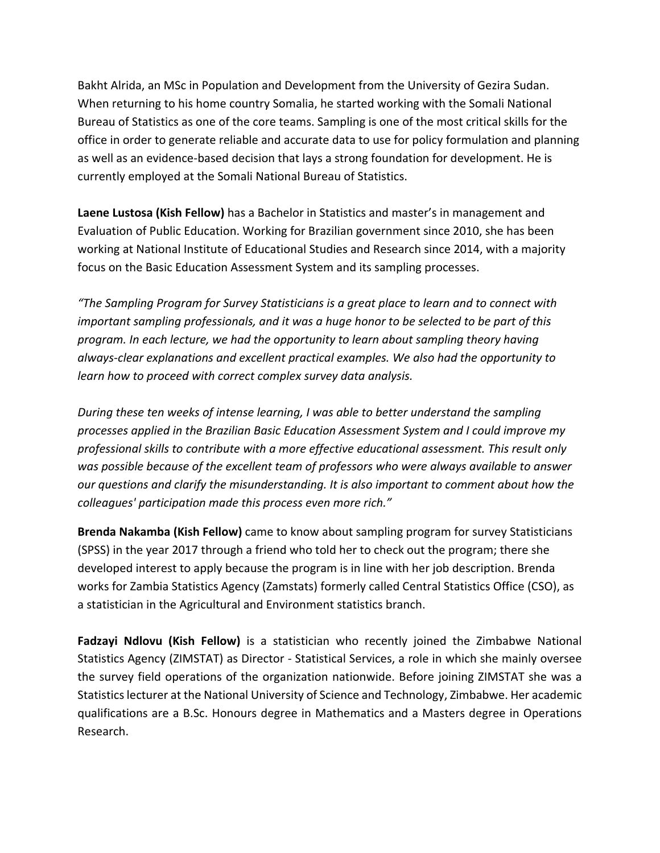Bakht Alrida, an MSc in Population and Development from the University of Gezira Sudan. When returning to his home country Somalia, he started working with the Somali National Bureau of Statistics as one of the core teams. Sampling is one of the most critical skills for the office in order to generate reliable and accurate data to use for policy formulation and planning as well as an evidence-based decision that lays a strong foundation for development. He is currently employed at the Somali National Bureau of Statistics.

**Laene Lustosa (Kish Fellow)** has a Bachelor in Statistics and master's in management and Evaluation of Public Education. Working for Brazilian government since 2010, she has been working at National Institute of Educational Studies and Research since 2014, with a majority focus on the Basic Education Assessment System and its sampling processes.

*"The Sampling Program for Survey Statisticians is a great place to learn and to connect with important sampling professionals, and it was a huge honor to be selected to be part of this program. In each lecture, we had the opportunity to learn about sampling theory having always-clear explanations and excellent practical examples. We also had the opportunity to learn how to proceed with correct complex survey data analysis.* 

*During these ten weeks of intense learning, I was able to better understand the sampling processes applied in the Brazilian Basic Education Assessment System and I could improve my professional skills to contribute with a more effective educational assessment. This result only was possible because of the excellent team of professors who were always available to answer our questions and clarify the misunderstanding. It is also important to comment about how the colleagues' participation made this process even more rich."*

**Brenda Nakamba (Kish Fellow)** came to know about sampling program for survey Statisticians (SPSS) in the year 2017 through a friend who told her to check out the program; there she developed interest to apply because the program is in line with her job description. Brenda works for Zambia Statistics Agency (Zamstats) formerly called Central Statistics Office (CSO), as a statistician in the Agricultural and Environment statistics branch.

**Fadzayi Ndlovu (Kish Fellow)** is a statistician who recently joined the Zimbabwe National Statistics Agency (ZIMSTAT) as Director - Statistical Services, a role in which she mainly oversee the survey field operations of the organization nationwide. Before joining ZIMSTAT she was a Statistics lecturer at the National University of Science and Technology, Zimbabwe. Her academic qualifications are a B.Sc. Honours degree in Mathematics and a Masters degree in Operations Research.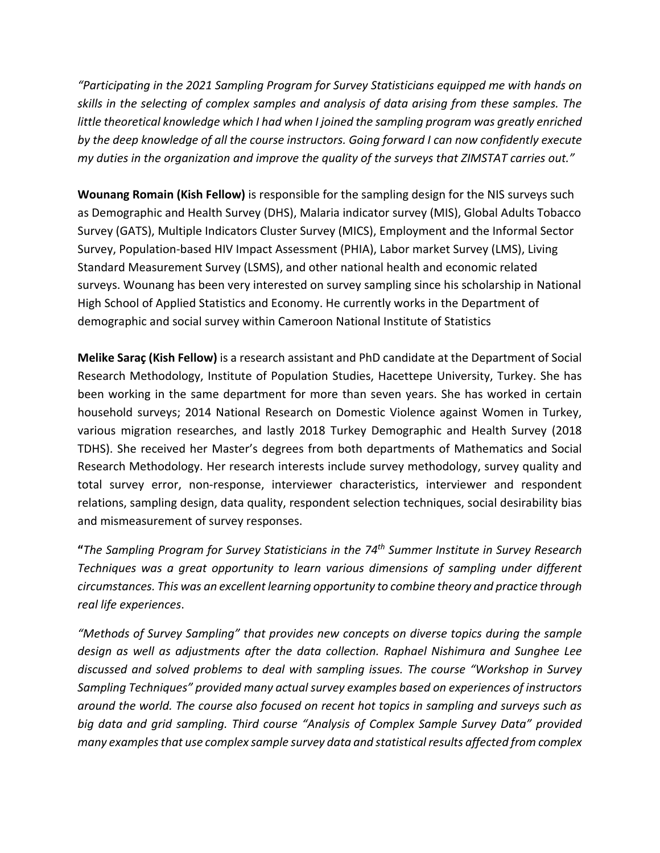*"Participating in the 2021 Sampling Program for Survey Statisticians equipped me with hands on skills in the selecting of complex samples and analysis of data arising from these samples. The little theoretical knowledge which I had when I joined the sampling program was greatly enriched by the deep knowledge of all the course instructors. Going forward I can now confidently execute my duties in the organization and improve the quality of the surveys that ZIMSTAT carries out."*

**Wounang Romain (Kish Fellow)** is responsible for the sampling design for the NIS surveys such as Demographic and Health Survey (DHS), Malaria indicator survey (MIS), Global Adults Tobacco Survey (GATS), Multiple Indicators Cluster Survey (MICS), Employment and the Informal Sector Survey, Population-based HIV Impact Assessment (PHIA), Labor market Survey (LMS), Living Standard Measurement Survey (LSMS), and other national health and economic related surveys. Wounang has been very interested on survey sampling since his scholarship in National High School of Applied Statistics and Economy. He currently works in the Department of demographic and social survey within Cameroon National Institute of Statistics

**Melike Saraç (Kish Fellow)** is a research assistant and PhD candidate at the Department of Social Research Methodology, Institute of Population Studies, Hacettepe University, Turkey. She has been working in the same department for more than seven years. She has worked in certain household surveys; 2014 National Research on Domestic Violence against Women in Turkey, various migration researches, and lastly 2018 Turkey Demographic and Health Survey (2018 TDHS). She received her Master's degrees from both departments of Mathematics and Social Research Methodology. Her research interests include survey methodology, survey quality and total survey error, non-response, interviewer characteristics, interviewer and respondent relations, sampling design, data quality, respondent selection techniques, social desirability bias and mismeasurement of survey responses.

**"***The Sampling Program for Survey Statisticians in the 74th Summer Institute in Survey Research Techniques was a great opportunity to learn various dimensions of sampling under different circumstances. This was an excellent learning opportunity to combine theory and practice through real life experiences*.

*"Methods of Survey Sampling" that provides new concepts on diverse topics during the sample design as well as adjustments after the data collection. Raphael Nishimura and Sunghee Lee discussed and solved problems to deal with sampling issues. The course "Workshop in Survey Sampling Techniques" provided many actual survey examples based on experiences of instructors around the world. The course also focused on recent hot topics in sampling and surveys such as big data and grid sampling. Third course "Analysis of Complex Sample Survey Data" provided many examples that use complex sample survey data and statistical results affected from complex*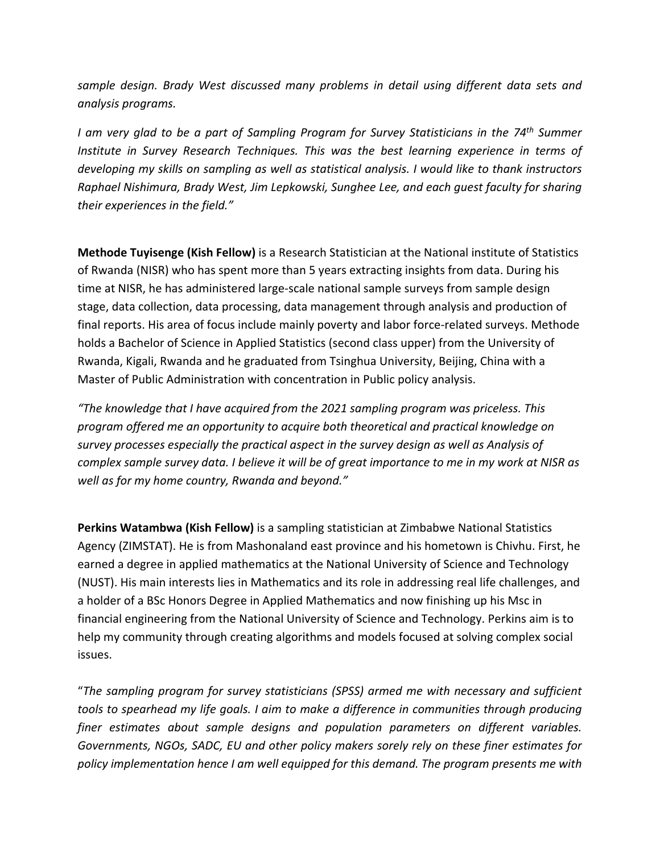*sample design. Brady West discussed many problems in detail using different data sets and analysis programs.*

*I am very glad to be a part of Sampling Program for Survey Statisticians in the 74th Summer Institute in Survey Research Techniques. This was the best learning experience in terms of developing my skills on sampling as well as statistical analysis. I would like to thank instructors Raphael Nishimura, Brady West, Jim Lepkowski, Sunghee Lee, and each guest faculty for sharing their experiences in the field."*

**Methode Tuyisenge (Kish Fellow)** is a Research Statistician at the National institute of Statistics of Rwanda (NISR) who has spent more than 5 years extracting insights from data. During his time at NISR, he has administered large-scale national sample surveys from sample design stage, data collection, data processing, data management through analysis and production of final reports. His area of focus include mainly poverty and labor force-related surveys. Methode holds a Bachelor of Science in Applied Statistics (second class upper) from the University of Rwanda, Kigali, Rwanda and he graduated from Tsinghua University, Beijing, China with a Master of Public Administration with concentration in Public policy analysis.

*"The knowledge that I have acquired from the 2021 sampling program was priceless. This program offered me an opportunity to acquire both theoretical and practical knowledge on survey processes especially the practical aspect in the survey design as well as Analysis of complex sample survey data. I believe it will be of great importance to me in my work at NISR as well as for my home country, Rwanda and beyond."*

**Perkins Watambwa (Kish Fellow)** is a sampling statistician at Zimbabwe National Statistics Agency (ZIMSTAT). He is from Mashonaland east province and his hometown is Chivhu. First, he earned a degree in applied mathematics at the National University of Science and Technology (NUST). His main interests lies in Mathematics and its role in addressing real life challenges, and a holder of a BSc Honors Degree in Applied Mathematics and now finishing up his Msc in financial engineering from the National University of Science and Technology. Perkins aim is to help my community through creating algorithms and models focused at solving complex social issues.

"*The sampling program for survey statisticians (SPSS) armed me with necessary and sufficient tools to spearhead my life goals. I aim to make a difference in communities through producing finer estimates about sample designs and population parameters on different variables. Governments, NGOs, SADC, EU and other policy makers sorely rely on these finer estimates for policy implementation hence I am well equipped for this demand. The program presents me with*